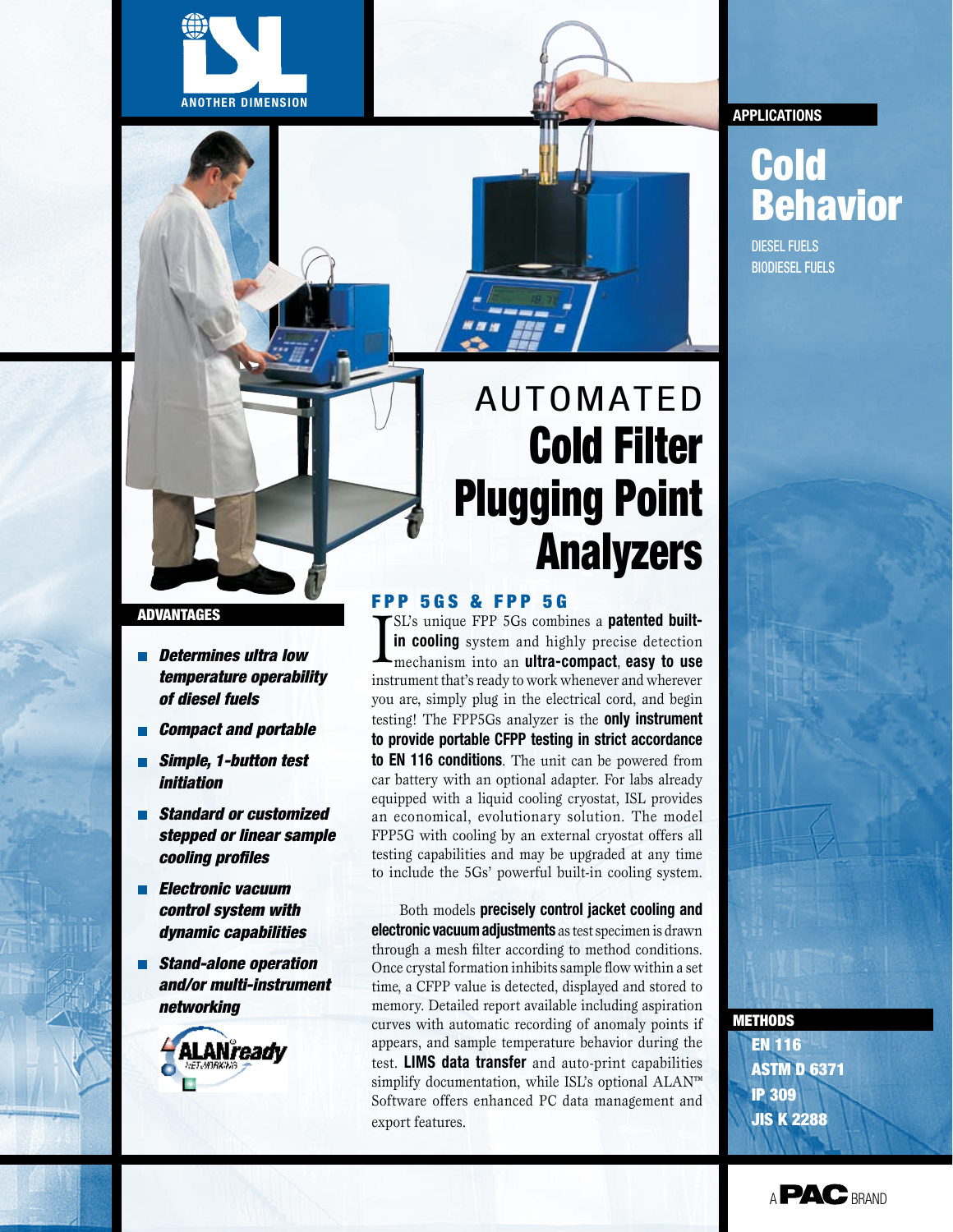



### advantages

- *Determines ultra low temperature operability of diesel fuels*
- *Compact and portable*
- *Simple, 1-button test initiation*
- *Standard or customized stepped or linear sample cooling profiles*
- *Electronic vacuum control system with dynamic capabilities*
- *Stand-alone operation and/or multi-instrument networking*



# **AUTOMATED** Cold Filter Plugging Point Analyzers

## **FPP 5GS & FPP 5G**

I SL's unique FPP 5Gs combines a **patented builtin cooling** system and highly precise detection mechanism into an **ultra-compact**, **easy to use**  instrument that's ready to work whenever and wherever you are, simply plug in the electrical cord, and begin testing! The FPP5Gs analyzer is the **only instrument to provide portable CFPP testing in strict accordance to EN 116 conditions**. The unit can be powered from car battery with an optional adapter. For labs already equipped with a liquid cooling cryostat, ISL provides an economical, evolutionary solution. The model FPP5G with cooling by an external cryostat offers all testing capabilities and may be upgraded at any time to include the 5Gs' powerful built-in cooling system.

Both models **precisely control jacket cooling and electronic vacuum adjustments** as test specimen is drawn through a mesh filter according to method conditions. Once crystal formation inhibits sample flow within a set time, a CFPP value is detected, displayed and stored to memory. Detailed report available including aspiration curves with automatic recording of anomaly points if appears, and sample temperature behavior during the test. **LIMS data transfer** and auto-print capabilities simplify documentation, while ISL's optional ALAN™ Software offers enhanced PC data management and export features.

### **applications**

## Cold Behavior

DIESEL FUELS BIODIESEL Fuels

methodS

EN 116 **ASTM D 6371** IP 309 JIS K 2288